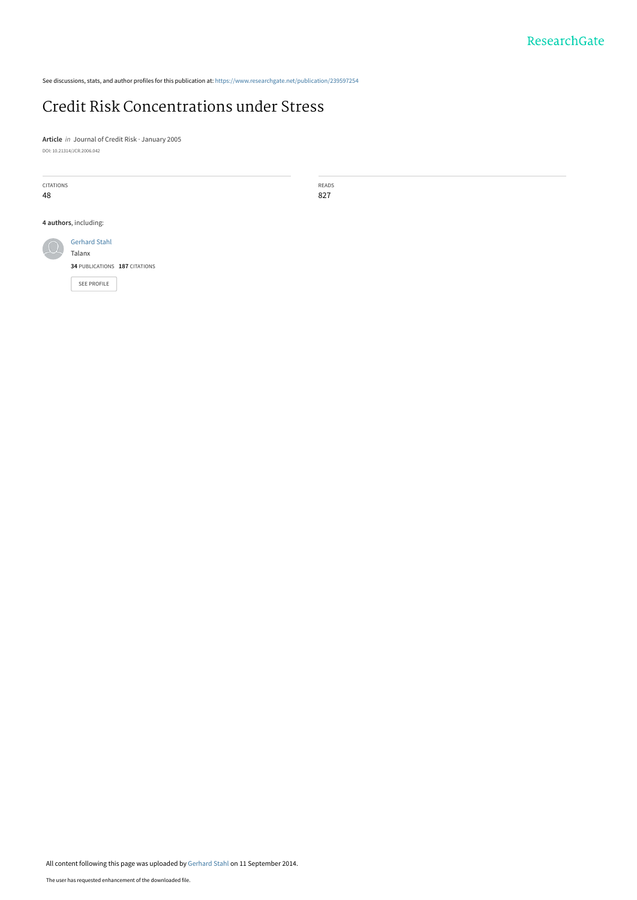See discussions, stats, and author profiles for this publication at: [https://www.researchgate.net/publication/239597254](https://www.researchgate.net/publication/239597254_Credit_Risk_Concentrations_under_Stress?enrichId=rgreq-3392116b8751014c5dacbebac17e99d8-XXX&enrichSource=Y292ZXJQYWdlOzIzOTU5NzI1NDtBUzoxNDAyMTYwMTA1NDcyMDBAMTQxMDQ0MTUxMDcwNA%3D%3D&el=1_x_2&_esc=publicationCoverPdf)

# [Credit Risk Concentrations under Stress](https://www.researchgate.net/publication/239597254_Credit_Risk_Concentrations_under_Stress?enrichId=rgreq-3392116b8751014c5dacbebac17e99d8-XXX&enrichSource=Y292ZXJQYWdlOzIzOTU5NzI1NDtBUzoxNDAyMTYwMTA1NDcyMDBAMTQxMDQ0MTUxMDcwNA%3D%3D&el=1_x_3&_esc=publicationCoverPdf)

**Article** in Journal of Credit Risk · January 2005 DOI: 10.21314/JCR.2006.042

| CITATIONS<br>48       |                                | READS<br>827 |
|-----------------------|--------------------------------|--------------|
| 4 authors, including: |                                |              |
|                       | <b>Gerhard Stahl</b><br>Talanx |              |
|                       | 34 PUBLICATIONS 187 CITATIONS  |              |
|                       | <b>SEE PROFILE</b>             |              |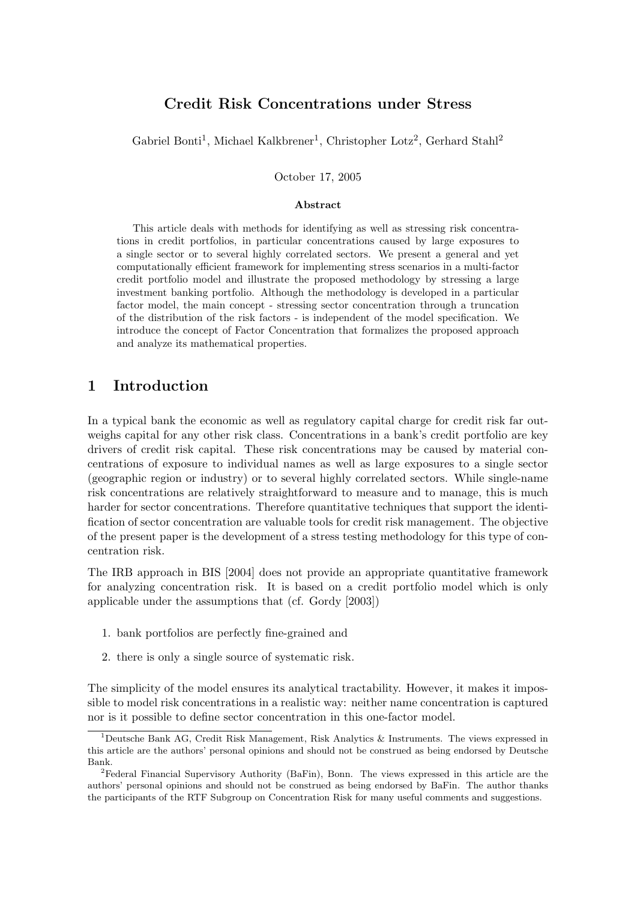# Credit Risk Concentrations under Stress

Gabriel Bonti<sup>1</sup>, Michael Kalkbrener<sup>1</sup>, Christopher Lotz<sup>2</sup>, Gerhard Stahl<sup>2</sup>

October 17, 2005

### Abstract

This article deals with methods for identifying as well as stressing risk concentrations in credit portfolios, in particular concentrations caused by large exposures to a single sector or to several highly correlated sectors. We present a general and yet computationally efficient framework for implementing stress scenarios in a multi-factor credit portfolio model and illustrate the proposed methodology by stressing a large investment banking portfolio. Although the methodology is developed in a particular factor model, the main concept - stressing sector concentration through a truncation of the distribution of the risk factors is independent of the model specification. We introduce the concept of Factor Concentration that formalizes the proposed approach and analyze its mathematical properties.

## 1 Introduction

In a typical bank the economic as well as regulatory capital charge for credit risk far outweighs capital for any other risk class. Concentrations in a bank's credit portfolio are key drivers of credit risk capital. These risk concentrations may be caused by material concentrations of exposure to individual names as well as large exposures to a single sector (geographic region or industry) or to several highly correlated sectors. While singlename risk concentrations are relatively straightforward to measure and to manage, this is much harder for sector concentrations. Therefore quantitative techniques that support the identification of sector concentration are valuable tools for credit risk management. The objective of the present paper is the development of a stress testing methodology for this type of concentration risk.

The IRB approach in BIS [2004] does not provide an appropriate quantitative framework for analyzing concentration risk. It is based on a credit portfolio model which is only applicable under the assumptions that (cf. Gordy [2003])

- 1. bank portfolios are perfectly fine-grained and
- 2. there is only a single source of systematic risk.

The simplicity of the model ensures its analytical tractability. However, it makes it impossible to model risk concentrations in a realistic way: neither name concentration is captured nor is it possible to define sector concentration in this one-factor model.

<sup>&</sup>lt;sup>1</sup>Deutsche Bank AG, Credit Risk Management, Risk Analytics & Instruments. The views expressed in this article are the authors' personal opinions and should not be construed as being endorsed by Deutsche Bank.

<sup>2</sup>Federal Financial Supervisory Authority (BaFin), Bonn. The views expressed in this article are the authors' personal opinions and should not be construed as being endorsed by BaFin. The author thanks the participants of the RTF Subgroup on Concentration Risk for many useful comments and suggestions.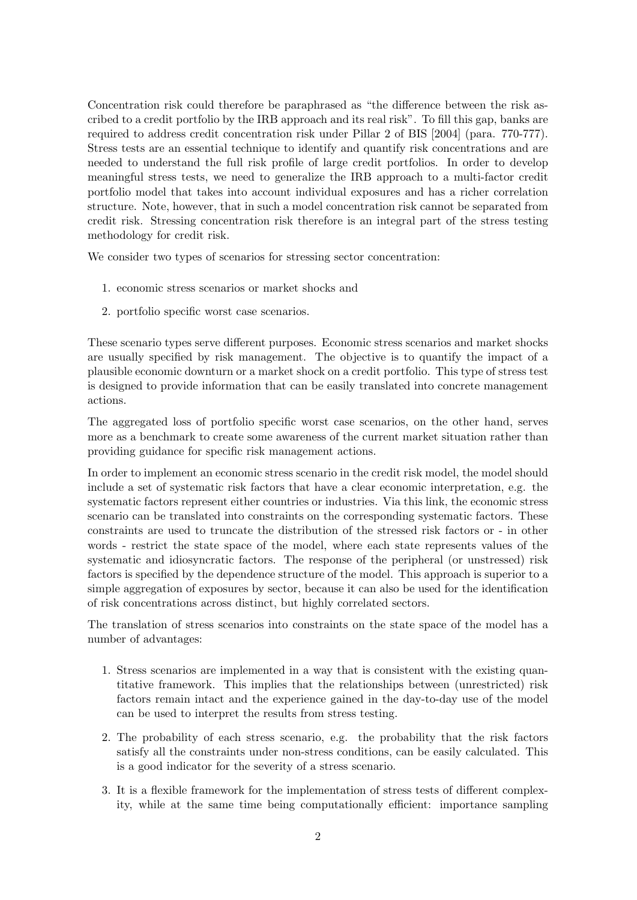Concentration risk could therefore be paraphrased as "the difference between the risk ascribed to a credit portfolio by the IRB approach and its real risk". To fill this gap, banks are required to address credit concentration risk under Pillar 2 of BIS [2004] (para. 770-777). Stress tests are an essential technique to identify and quantify risk concentrations and are needed to understand the full risk profile of large credit portfolios. In order to develop meaningful stress tests, we need to generalize the IRB approach to a multi-factor credit portfolio model that takes into account individual exposures and has a richer correlation structure. Note, however, that in such a model concentration risk cannot be separated from credit risk. Stressing concentration risk therefore is an integral part of the stress testing methodology for credit risk.

We consider two types of scenarios for stressing sector concentration:

- 1. economic stress scenarios or market shocks and
- 2. portfolio specific worst case scenarios.

These scenario types serve different purposes. Economic stress scenarios and market shocks are usually specified by risk management. The objective is to quantify the impact of a plausible economic downturn or a market shock on a credit portfolio. This type of stress test is designed to provide information that can be easily translated into concrete management actions.

The aggregated loss of portfolio specific worst case scenarios, on the other hand, serves more as a benchmark to create some awareness of the current market situation rather than providing guidance for specific risk management actions.

In order to implement an economic stress scenario in the credit risk model, the model should include a set of systematic risk factors that have a clear economic interpretation, e.g. the systematic factors represent either countries or industries. Via this link, the economic stress scenario can be translated into constraints on the corresponding systematic factors. These constraints are used to truncate the distribution of the stressed risk factors or in other words - restrict the state space of the model, where each state represents values of the systematic and idiosyncratic factors. The response of the peripheral (or unstressed) risk factors is specified by the dependence structure of the model. This approach is superior to a simple aggregation of exposures by sector, because it can also be used for the identification of risk concentrations across distinct, but highly correlated sectors.

The translation of stress scenarios into constraints on the state space of the model has a number of advantages:

- 1. Stress scenarios are implemented in a way that is consistent with the existing quantitative framework. This implies that the relationships between (unrestricted) risk factors remain intact and the experience gained in the day-to-day use of the model can be used to interpret the results from stress testing.
- 2. The probability of each stress scenario, e.g. the probability that the risk factors satisfy all the constraints under nonstress conditions, can be easily calculated. This is a good indicator for the severity of a stress scenario.
- 3. It is a flexible framework for the implementation of stress tests of different complexity, while at the same time being computationally efficient: importance sampling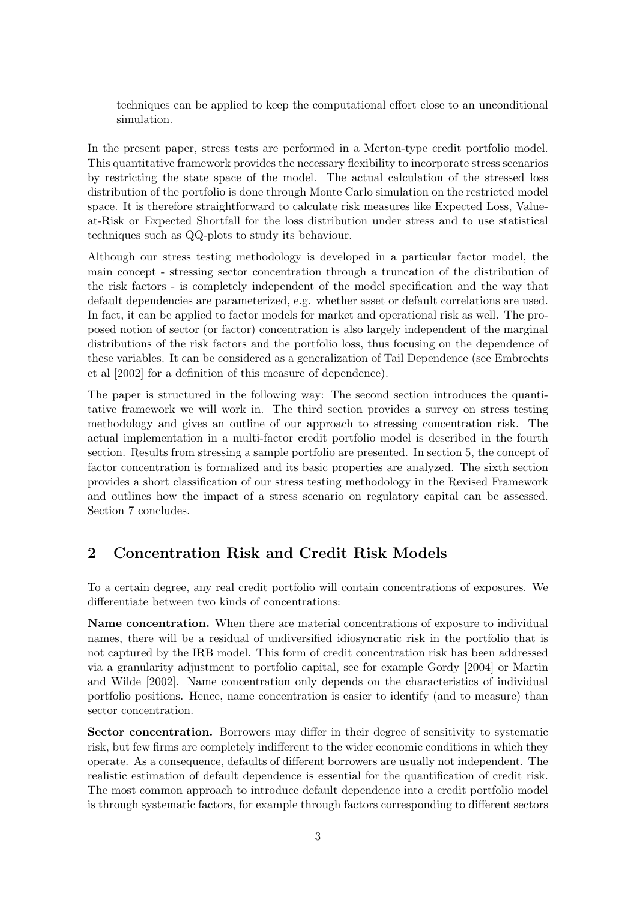techniques can be applied to keep the computational effort close to an unconditional simulation.

In the present paper, stress tests are performed in a Merton-type credit portfolio model. This quantitative framework provides the necessary flexibility to incorporate stress scenarios by restricting the state space of the model. The actual calculation of the stressed loss distribution of the portfolio is done through Monte Carlo simulation on the restricted model space. It is therefore straightforward to calculate risk measures like Expected Loss, Valueat-Risk or Expected Shortfall for the loss distribution under stress and to use statistical techniques such as QQ-plots to study its behaviour.

Although our stress testing methodology is developed in a particular factor model, the main concept - stressing sector concentration through a truncation of the distribution of the risk factors is completely independent of the model specification and the way that default dependencies are parameterized, e.g. whether asset or default correlations are used. In fact, it can be applied to factor models for market and operational risk as well. The proposed notion of sector (or factor) concentration is also largely independent of the marginal distributions of the risk factors and the portfolio loss, thus focusing on the dependence of these variables. It can be considered as a generalization of Tail Dependence (see Embrechts et al [2002] for a definition of this measure of dependence).

The paper is structured in the following way: The second section introduces the quantitative framework we will work in. The third section provides a survey on stress testing methodology and gives an outline of our approach to stressing concentration risk. The actual implementation in a multi-factor credit portfolio model is described in the fourth section. Results from stressing a sample portfolio are presented. In section 5, the concept of factor concentration is formalized and its basic properties are analyzed. The sixth section provides a short classification of our stress testing methodology in the Revised Framework and outlines how the impact of a stress scenario on regulatory capital can be assessed. Section 7 concludes.

#### 2 Concentration Risk and Credit Risk Models

To a certain degree, any real credit portfolio will contain concentrations of exposures. We differentiate between two kinds of concentrations:

Name concentration. When there are material concentrations of exposure to individual names, there will be a residual of undiversified idiosyncratic risk in the portfolio that is not captured by the IRB model. This form of credit concentration risk has been addressed via a granularity adjustment to portfolio capital, see for example Gordy [2004] or Martin and Wilde [2002]. Name concentration only depends on the characteristics of individual portfolio positions. Hence, name concentration is easier to identify (and to measure) than sector concentration.

Sector concentration. Borrowers may differ in their degree of sensitivity to systematic risk, but few firms are completely indifferent to the wider economic conditions in which they operate. As a consequence, defaults of different borrowers are usually not independent. The realistic estimation of default dependence is essential for the quantification of credit risk. The most common approach to introduce default dependence into a credit portfolio model is through systematic factors, for example through factors corresponding to different sectors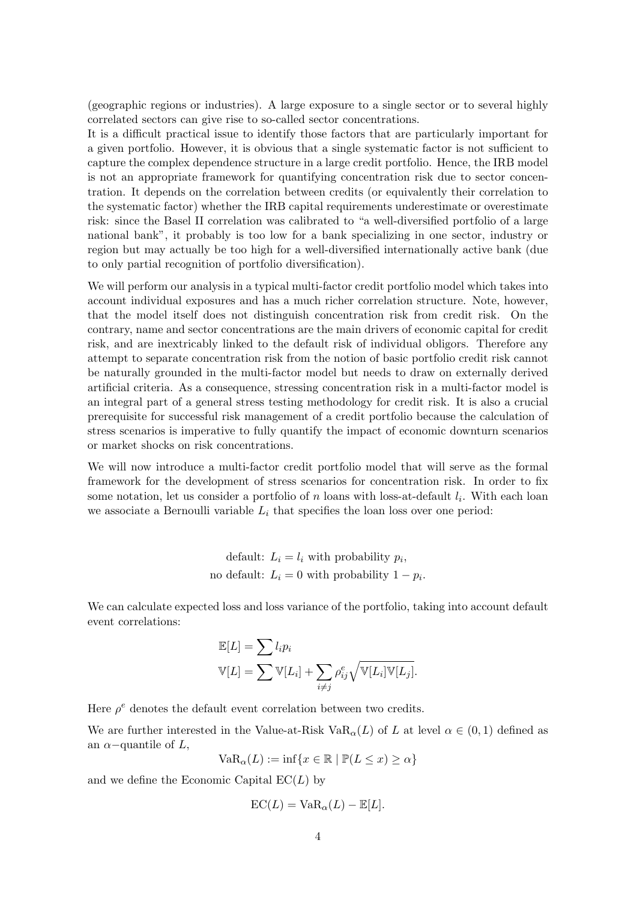(geographic regions or industries). A large exposure to a single sector or to several highly correlated sectors can give rise to socalled sector concentrations.

It is a difficult practical issue to identify those factors that are particularly important for a given portfolio. However, it is obvious that a single systematic factor is not sufficient to capture the complex dependence structure in a large credit portfolio. Hence, the IRB model is not an appropriate framework for quantifying concentration risk due to sector concentration. It depends on the correlation between credits (or equivalently their correlation to the systematic factor) whether the IRB capital requirements underestimate or overestimate risk: since the Basel II correlation was calibrated to "a well-diversified portfolio of a large national bank", it probably is too low for a bank specializing in one sector, industry or region but may actually be too high for a well-diversified internationally active bank (due to only partial recognition of portfolio diversification).

We will perform our analysis in a typical multi-factor credit portfolio model which takes into account individual exposures and has a much richer correlation structure. Note, however, that the model itself does not distinguish concentration risk from credit risk. On the contrary, name and sector concentrations are the main drivers of economic capital for credit risk, and are inextricably linked to the default risk of individual obligors. Therefore any attempt to separate concentration risk from the notion of basic portfolio credit risk cannot be naturally grounded in the multi-factor model but needs to draw on externally derived artificial criteria. As a consequence, stressing concentration risk in a multi-factor model is an integral part of a general stress testing methodology for credit risk. It is also a crucial prerequisite for successful risk management of a credit portfolio because the calculation of stress scenarios is imperative to fully quantify the impact of economic downturn scenarios or market shocks on risk concentrations.

We will now introduce a multi-factor credit portfolio model that will serve as the formal framework for the development of stress scenarios for concentration risk. In order to fix some notation, let us consider a portfolio of n loans with loss-at-default  $l_i$ . With each loan we associate a Bernoulli variable  $L_i$  that specifies the loan loss over one period:

> default:  $L_i = l_i$  with probability  $p_i$ , no default:  $L_i = 0$  with probability  $1 - p_i$ .

We can calculate expected loss and loss variance of the portfolio, taking into account default event correlations:

$$
\mathbb{E}[L] = \sum l_i p_i
$$
  
\n
$$
\mathbb{V}[L] = \sum \mathbb{V}[L_i] + \sum_{i \neq j} \rho_{ij}^e \sqrt{\mathbb{V}[L_i] \mathbb{V}[L_j]}.
$$

Here  $\rho^e$  denotes the default event correlation between two credits.

We are further interested in the Value-at-Risk VaR<sub> $\alpha$ </sub>(L) of L at level  $\alpha \in (0,1)$  defined as an  $\alpha$ -quantile of L,

$$
VaR_{\alpha}(L) := \inf\{x \in \mathbb{R} \mid \mathbb{P}(L \le x) \ge \alpha\}
$$

and we define the Economic Capital  $EC(L)$  by

$$
EC(L) = VaR_{\alpha}(L) - \mathbb{E}[L].
$$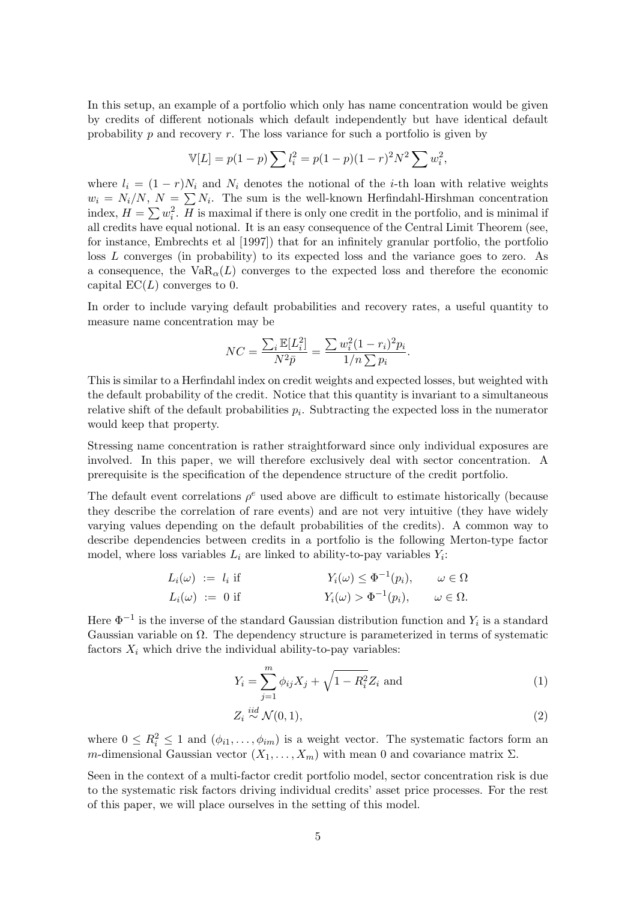In this setup, an example of a portfolio which only has name concentration would be given by credits of different notionals which default independently but have identical default probability  $p$  and recovery  $r$ . The loss variance for such a portfolio is given by

$$
\mathbb{V}[L] = p(1-p) \sum l_i^2 = p(1-p)(1-r)^2 N^2 \sum w_i^2,
$$

 $w_i = N_i/N, N = \sum N_i$ . The sum is the well-known Herfindahl-Hirshman concentration index,  $H = \sum w_i^2$ . H is maximal if there is only one credit in the portfolio, and is minimal if where  $l_i = (1 - r)N_i$  and  $N_i$  denotes the notional of the *i*-th loan with relative weights all credits have equal notional. It is an easy consequence of the Central Limit Theorem (see, for instance, Embrechts et al [1997]) that for an infinitely granular portfolio, the portfolio loss L converges (in probability) to its expected loss and the variance goes to zero. As a consequence, the  $VaR_{\alpha}(L)$  converges to the expected loss and therefore the economic capital  $EC(L)$  converges to 0.

In order to include varying default probabilities and recovery rates, a useful quantity to measure name concentration may be

$$
NC = \frac{\sum_{i} \mathbb{E}[L_i^2]}{N^2 \bar{p}} = \frac{\sum w_i^2 (1 - r_i)^2 p_i}{1/n \sum p_i}.
$$

This is similar to a Herfindahl index on credit weights and expected losses, but weighted with the default probability of the credit. Notice that this quantity is invariant to a simultaneous relative shift of the default probabilities  $p_i$ . Subtracting the expected loss in the numerator would keep that property.

Stressing name concentration is rather straightforward since only individual exposures are involved. In this paper, we will therefore exclusively deal with sector concentration. A prerequisite is the specification of the dependence structure of the credit portfolio.

The default event correlations  $\rho^e$  used above are difficult to estimate historically (because they describe the correlation of rare events) and are not very intuitive (they have widely varying values depending on the default probabilities of the credits). A common way to describe dependencies between credits in a portfolio is the following Merton-type factor model, where loss variables  $L_i$  are linked to ability-to-pay variables  $Y_i$ :

$$
L_i(\omega) := l_i \text{ if } Y_i(\omega) \leq \Phi^{-1}(p_i), \qquad \omega \in \Omega
$$
  

$$
L_i(\omega) := 0 \text{ if } Y_i(\omega) > \Phi^{-1}(p_i), \qquad \omega \in \Omega.
$$

Here  $\Phi^{-1}$  is the inverse of the standard Gaussian distribution function and  $Y_i$  is a standard Gaussian variable on  $\Omega$ . The dependency structure is parameterized in terms of systematic factors  $X_i$  which drive the individual ability-to-pay variables:

$$
Y_i = \sum_{j=1}^{m} \phi_{ij} X_j + \sqrt{1 - R_i^2} Z_i \text{ and } (1)
$$

$$
Z_i \stackrel{iid}{\sim} \mathcal{N}(0, 1),\tag{2}
$$

where  $0 \leq R_i^2 \leq 1$  and  $(\phi_{i1}, \ldots, \phi_{im})$  is a weight vector. The systematic factors form an m-dimensional Gaussian vector  $(X_1, \ldots, X_m)$  with mean 0 and covariance matrix  $\Sigma$ .

Seen in the context of a multi-factor credit portfolio model, sector concentration risk is due to the systematic risk factors driving individual credits' asset price processes. For the rest of this paper, we will place ourselves in the setting of this model.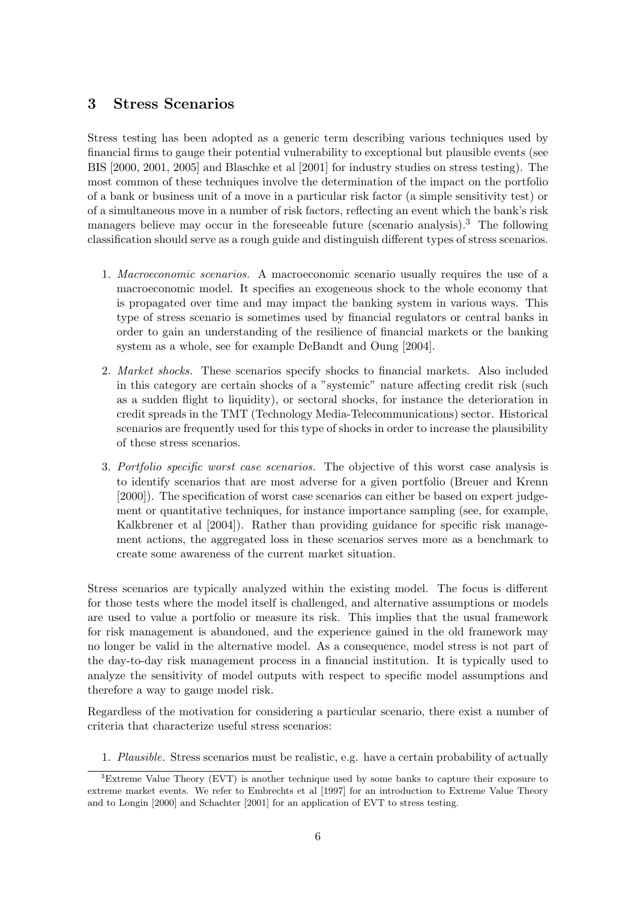# 3 Stress Scenarios

Stress testing has been adopted as a generic term describing various techniques used by financial firms to gauge their potential vulnerability to exceptional but plausible events (see BIS [2000, 2001, 2005] and Blaschke et al [2001] for industry studies on stress testing). The most common of these techniques involve the determination of the impact on the portfolio of a bank or business unit of a move in a particular risk factor (a simple sensitivity test) or of a simultaneous move in a number of risk factors, reflecting an event which the bank's risk managers believe may occur in the foreseeable future (scenario analysis).<sup>3</sup> The following classification should serve as a rough guide and distinguish different types of stress scenarios.

- 1. Macroeconomic scenarios. A macroeconomic scenario usually requires the use of a macroeconomic model. It specifies an exogeneous shock to the whole economy that is propagated over time and may impact the banking system in various ways. This type of stress scenario is sometimes used by financial regulators or central banks in order to gain an understanding of the resilience of financial markets or the banking system as a whole, see for example DeBandt and Oung [2004].
- 2. Market shocks. These scenarios specify shocks to financial markets. Also included in this category are certain shocks of a "systemic" nature affecting credit risk (such as a sudden flight to liquidity), or sectoral shocks, for instance the deterioration in credit spreads in the TMT (Technology Media-Telecommunications) sector. Historical scenarios are frequently used for this type of shocks in order to increase the plausibility of these stress scenarios.
- 3. Portfolio specific worst case scenarios. The objective of this worst case analysis is to identify scenarios that are most adverse for a given portfolio (Breuer and Krenn [2000]). The specification of worst case scenarios can either be based on expert judgement or quantitative techniques, for instance importance sampling (see, for example, Kalkbrener et al  $[2004]$ ). Rather than providing guidance for specific risk management actions, the aggregated loss in these scenarios serves more as a benchmark to create some awareness of the current market situation.

Stress scenarios are typically analyzed within the existing model. The focus is different for those tests where the model itself is challenged, and alternative assumptions or models are used to value a portfolio or measure its risk. This implies that the usual framework for risk management is abandoned, and the experience gained in the old framework may no longer be valid in the alternative model. As a consequence, model stress is not part of the daytoday risk management process in a financial institution. It is typically used to analyze the sensitivity of model outputs with respect to specific model assumptions and therefore a way to gauge model risk.

Regardless of the motivation for considering a particular scenario, there exist a number of criteria that characterize useful stress scenarios:

1. Plausible. Stress scenarios must be realistic, e.g. have a certain probability of actually

<sup>3</sup>Extreme Value Theory (EVT) is another technique used by some banks to capture their exposure to extreme market events. We refer to Embrechts et al [1997] for an introduction to Extreme Value Theory and to Longin [2000] and Schachter [2001] for an application of EVT to stress testing.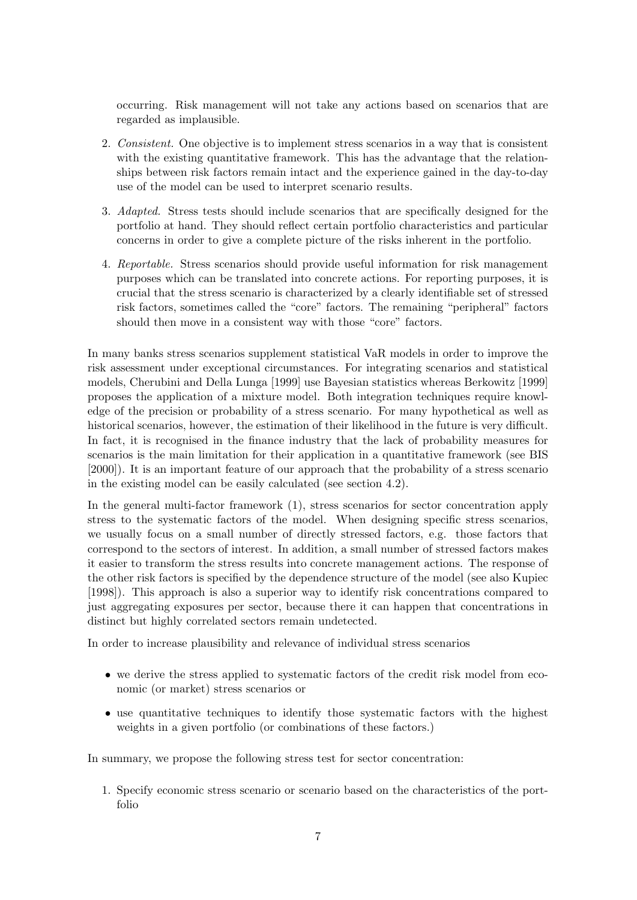occurring. Risk management will not take any actions based on scenarios that are regarded as implausible.

- 2. Consistent. One objective is to implement stress scenarios in a way that is consistent with the existing quantitative framework. This has the advantage that the relationships between risk factors remain intact and the experience gained in the day-to-day use of the model can be used to interpret scenario results.
- 3. Adapted. Stress tests should include scenarios that are specifically designed for the portfolio at hand. They should reflect certain portfolio characteristics and particular concerns in order to give a complete picture of the risks inherent in the portfolio.
- 4. Reportable. Stress scenarios should provide useful information for risk management purposes which can be translated into concrete actions. For reporting purposes, it is crucial that the stress scenario is characterized by a clearly identifiable set of stressed risk factors, sometimes called the "core" factors. The remaining "peripheral" factors should then move in a consistent way with those "core" factors.

In many banks stress scenarios supplement statistical VaR models in order to improve the risk assessment under exceptional circumstances. For integrating scenarios and statistical models, Cherubini and Della Lunga [1999] use Bayesian statistics whereas Berkowitz [1999] proposes the application of a mixture model. Both integration techniques require knowledge of the precision or probability of a stress scenario. For many hypothetical as well as historical scenarios, however, the estimation of their likelihood in the future is very difficult. In fact, it is recognised in the finance industry that the lack of probability measures for scenarios is the main limitation for their application in a quantitative framework (see BIS [2000]). It is an important feature of our approach that the probability of a stress scenario in the existing model can be easily calculated (see section 4.2).

In the general multi-factor framework  $(1)$ , stress scenarios for sector concentration apply stress to the systematic factors of the model. When designing specific stress scenarios, we usually focus on a small number of directly stressed factors, e.g. those factors that correspond to the sectors of interest. In addition, a small number of stressed factors makes it easier to transform the stress results into concrete management actions. The response of the other risk factors is specified by the dependence structure of the model (see also Kupiec [1998]). This approach is also a superior way to identify risk concentrations compared to just aggregating exposures per sector, because there it can happen that concentrations in distinct but highly correlated sectors remain undetected.

In order to increase plausibility and relevance of individual stress scenarios

- we derive the stress applied to systematic factors of the credit risk model from economic (or market) stress scenarios or
- use quantitative techniques to identify those systematic factors with the highest weights in a given portfolio (or combinations of these factors.)

In summary, we propose the following stress test for sector concentration:

1. Specify economic stress scenario or scenario based on the characteristics of the portfolio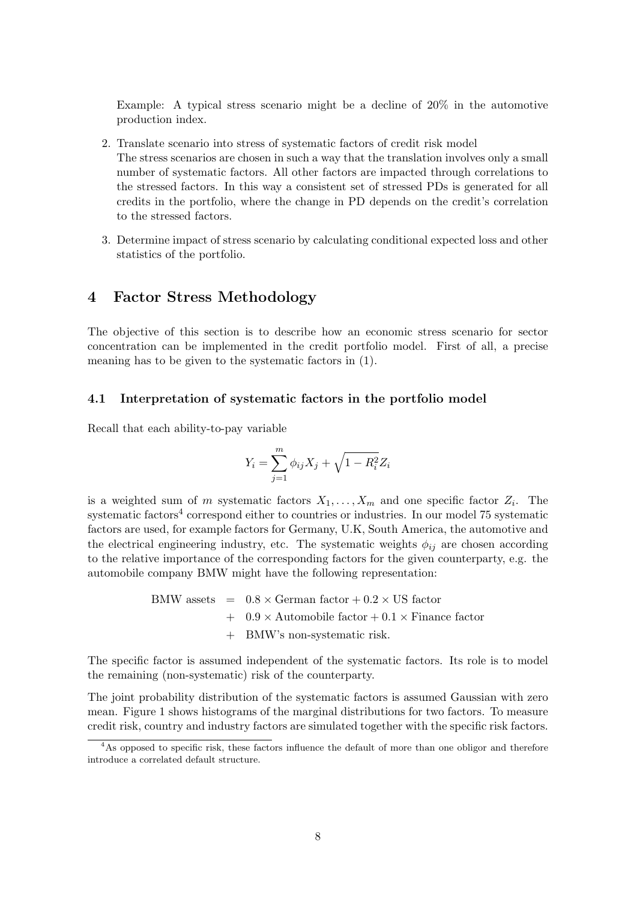Example: A typical stress scenario might be a decline of 20% in the automotive production index.

- 2. Translate scenario into stress of systematic factors of credit risk model The stress scenarios are chosen in such a way that the translation involves only a small number of systematic factors. All other factors are impacted through correlations to the stressed factors. In this way a consistent set of stressed PDs is generated for all credits in the portfolio, where the change in PD depends on the credit's correlation to the stressed factors.
- 3. Determine impact of stress scenario by calculating conditional expected loss and other statistics of the portfolio.

## 4 Factor Stress Methodology

The objective of this section is to describe how an economic stress scenario for sector concentration can be implemented in the credit portfolio model. First of all, a precise meaning has to be given to the systematic factors in (1).

### 4.1 Interpretation of systematic factors in the portfolio model

Recall that each ability-to-pay variable

$$
Y_i = \sum_{j=1}^{m} \phi_{ij} X_j + \sqrt{1 - R_i^2} Z_i
$$

is a weighted sum of m systematic factors  $X_1, \ldots, X_m$  and one specific factor  $Z_i$ . The systematic factors<sup>4</sup> correspond either to countries or industries. In our model  $75$  systematic factors are used, for example factors for Germany, U.K, South America, the automotive and the electrical engineering industry, etc. The systematic weights  $\phi_{ij}$  are chosen according to the relative importance of the corresponding factors for the given counterparty, e.g. the automobile company BMW might have the following representation:

> BMW assets  $= 0.8 \times \text{German factor} + 0.2 \times \text{US factor}$  $+$  0.9  $\times$  Automobile factor  $+$  0.1  $\times$  Finance factor + BMW's nonsystematic risk.

The specific factor is assumed independent of the systematic factors. Its role is to model the remaining (non-systematic) risk of the counterparty.

The joint probability distribution of the systematic factors is assumed Gaussian with zero mean. Figure 1 shows histograms of the marginal distributions for two factors. To measure credit risk, country and industry factors are simulated together with the specific risk factors.

<sup>&</sup>lt;sup>4</sup>As opposed to specific risk, these factors influence the default of more than one obligor and therefore introduce a correlated default structure.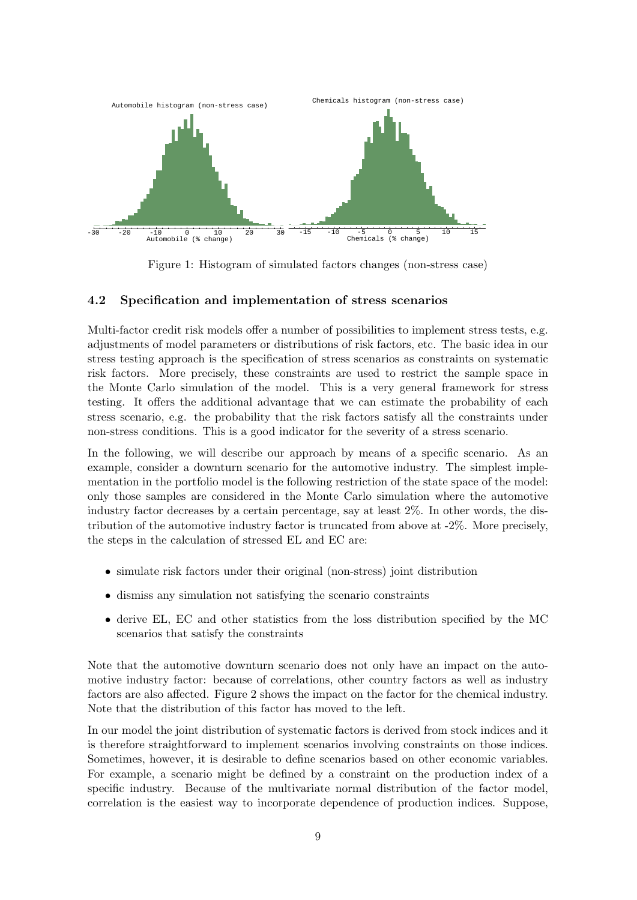

Figure 1: Histogram of simulated factors changes (non-stress case)

### 4.2 Specification and implementation of stress scenarios

Multi-factor credit risk models offer a number of possibilities to implement stress tests, e.g. adjustments of model parameters or distributions of risk factors, etc. The basic idea in our stress testing approach is the specification of stress scenarios as constraints on systematic risk factors. More precisely, these constraints are used to restrict the sample space in the Monte Carlo simulation of the model. This is a very general framework for stress testing. It offers the additional advantage that we can estimate the probability of each stress scenario, e.g. the probability that the risk factors satisfy all the constraints under nonstress conditions. This is a good indicator for the severity of a stress scenario.

In the following, we will describe our approach by means of a specific scenario. As an example, consider a downturn scenario for the automotive industry. The simplest implementation in the portfolio model is the following restriction of the state space of the model: only those samples are considered in the Monte Carlo simulation where the automotive industry factor decreases by a certain percentage, say at least 2%. In other words, the distribution of the automotive industry factor is truncated from above at  $-2\%$ . More precisely, the steps in the calculation of stressed EL and EC are:

- simulate risk factors under their original (non-stress) joint distribution
- dismiss any simulation not satisfying the scenario constraints
- derive EL, EC and other statistics from the loss distribution specified by the MC scenarios that satisfy the constraints

Note that the automotive downturn scenario does not only have an impact on the automotive industry factor: because of correlations, other country factors as well as industry factors are also affected. Figure 2 shows the impact on the factor for the chemical industry. Note that the distribution of this factor has moved to the left.

In our model the joint distribution of systematic factors is derived from stock indices and it is therefore straightforward to implement scenarios involving constraints on those indices. Sometimes, however, it is desirable to define scenarios based on other economic variables. For example, a scenario might be defined by a constraint on the production index of a specific industry. Because of the multivariate normal distribution of the factor model, correlation is the easiest way to incorporate dependence of production indices. Suppose,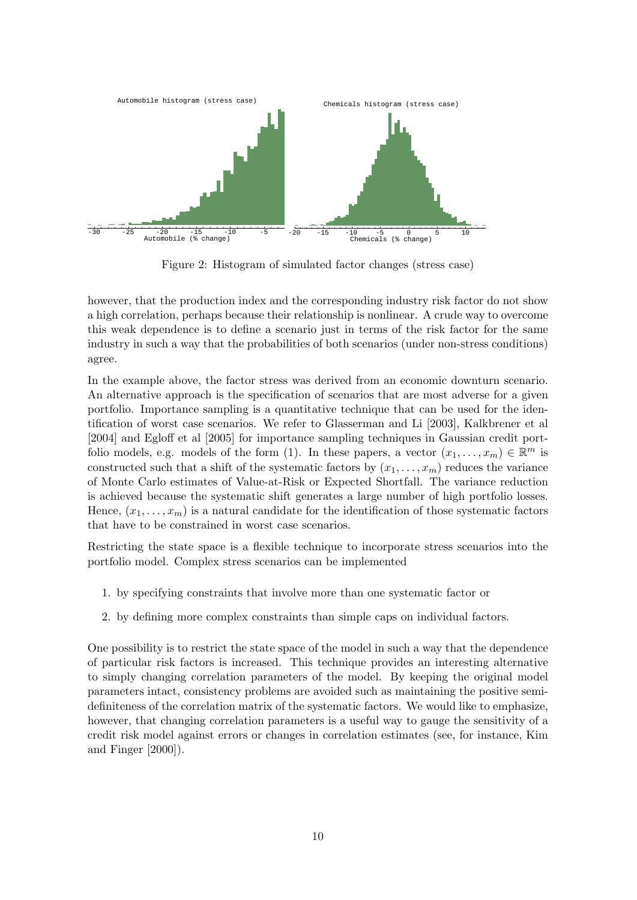

Figure 2: Histogram of simulated factor changes (stress case)

however, that the production index and the corresponding industry risk factor do not show a high correlation, perhaps because their relationship is nonlinear. A crude way to overcome this weak dependence is to define a scenario just in terms of the risk factor for the same industry in such a way that the probabilities of both scenarios (under nonstress conditions) agree.

In the example above, the factor stress was derived from an economic downturn scenario. An alternative approach is the specification of scenarios that are most adverse for a given portfolio. Importance sampling is a quantitative technique that can be used for the identification of worst case scenarios. We refer to Glasserman and Li [2003], Kalkbrener et al [2004] and Egloff et al [2005] for importance sampling techniques in Gaussian credit portfolio models, e.g. models of the form (1). In these papers, a vector  $(x_1, \ldots, x_m) \in \mathbb{R}^m$  is constructed such that a shift of the systematic factors by  $(x_1, \ldots, x_m)$  reduces the variance of Monte Carlo estimates of Value-at-Risk or Expected Shortfall. The variance reduction is achieved because the systematic shift generates a large number of high portfolio losses. Hence,  $(x_1, \ldots, x_m)$  is a natural candidate for the identification of those systematic factors that have to be constrained in worst case scenarios.

Restricting the state space is a flexible technique to incorporate stress scenarios into the portfolio model. Complex stress scenarios can be implemented

- 1. by specifying constraints that involve more than one systematic factor or
- 2. by defining more complex constraints than simple caps on individual factors.

One possibility is to restrict the state space of the model in such a way that the dependence of particular risk factors is increased. This technique provides an interesting alternative to simply changing correlation parameters of the model. By keeping the original model parameters intact, consistency problems are avoided such as maintaining the positive semidefiniteness of the correlation matrix of the systematic factors. We would like to emphasize, however, that changing correlation parameters is a useful way to gauge the sensitivity of a credit risk model against errors or changes in correlation estimates (see, for instance, Kim and Finger [2000]).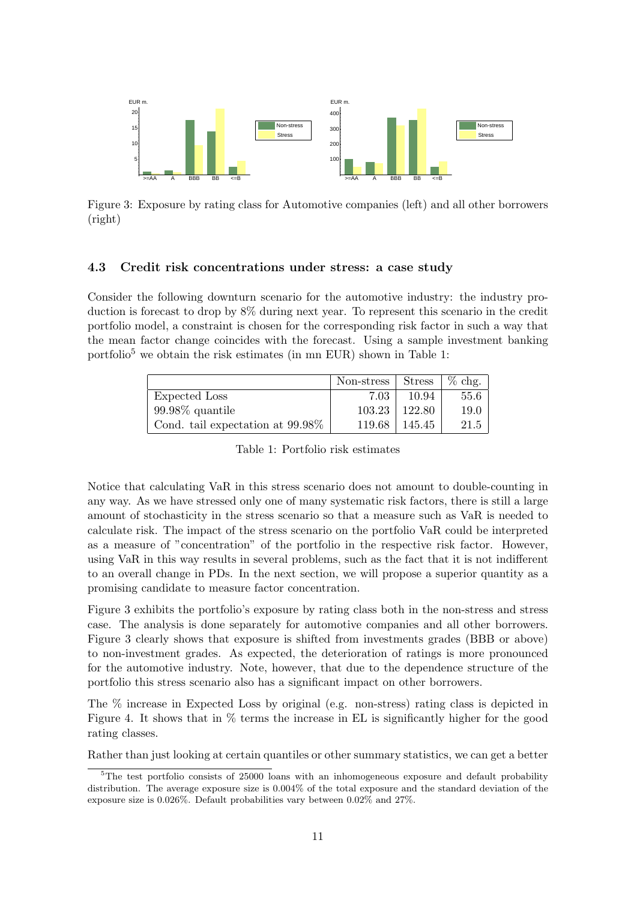

Figure 3: Exposure by rating class for Automotive companies (left) and all other borrowers (right)

### 4.3 Credit risk concentrations under stress: a case study

Consider the following downturn scenario for the automotive industry: the industry production is forecast to drop by 8% during next year. To represent this scenario in the credit portfolio model, a constraint is chosen for the corresponding risk factor in such a way that the mean factor change coincides with the forecast. Using a sample investment banking portfolio<sup>5</sup> we obtain the risk estimates (in mn EUR) shown in Table 1:

|                                     | Non-stress Stress |        | $\%$ chg. |
|-------------------------------------|-------------------|--------|-----------|
| Expected Loss                       | 7.03              | 10.94  | 55.6      |
| $99.98\%$ quantile                  | 103.23            | 122.80 | 19.0      |
| Cond. tail expectation at $99.98\%$ | 119.68            | 145.45 | 21.5      |

Table 1: Portfolio risk estimates

Notice that calculating VaR in this stress scenario does not amount to doublecounting in any way. As we have stressed only one of many systematic risk factors, there is still a large amount of stochasticity in the stress scenario so that a measure such as VaR is needed to calculate risk. The impact of the stress scenario on the portfolio VaR could be interpreted as a measure of "concentration" of the portfolio in the respective risk factor. However, using VaR in this way results in several problems, such as the fact that it is not indifferent to an overall change in PDs. In the next section, we will propose a superior quantity as a promising candidate to measure factor concentration.

Figure 3 exhibits the portfolio's exposure by rating class both in the nonstress and stress case. The analysis is done separately for automotive companies and all other borrowers. Figure 3 clearly shows that exposure is shifted from investments grades (BBB or above) to non-investment grades. As expected, the deterioration of ratings is more pronounced for the automotive industry. Note, however, that due to the dependence structure of the portfolio this stress scenario also has a significant impact on other borrowers.

The % increase in Expected Loss by original (e.g. nonstress) rating class is depicted in Figure 4. It shows that in  $\%$  terms the increase in EL is significantly higher for the good rating classes.

Rather than just looking at certain quantiles or other summary statistics, we can get a better

 $5$ The test portfolio consists of 25000 loans with an inhomogeneous exposure and default probability distribution. The average exposure size is 0.004% of the total exposure and the standard deviation of the exposure size is 0.026%. Default probabilities vary between 0.02% and 27%.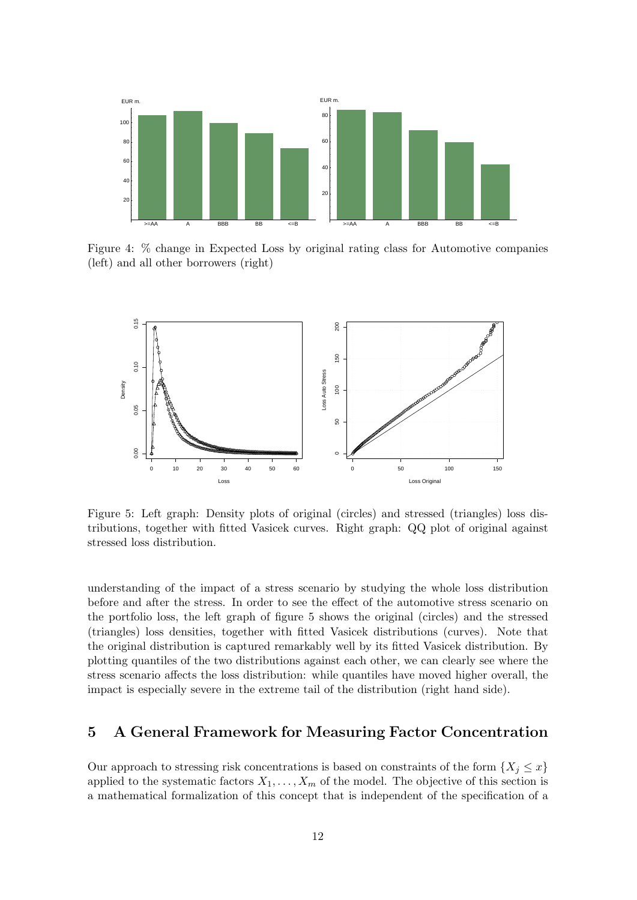

Figure 4: % change in Expected Loss by original rating class for Automotive companies (left) and all other borrowers (right)



Figure 5: Left graph: Density plots of original (circles) and stressed (triangles) loss distributions, together with fitted Vasicek curves. Right graph: QQ plot of original against stressed loss distribution.

understanding of the impact of a stress scenario by studying the whole loss distribution before and after the stress. In order to see the effect of the automotive stress scenario on the portfolio loss, the left graph of figure 5 shows the original (circles) and the stressed (triangles) loss densities, together with fitted Vasicek distributions (curves). Note that the original distribution is captured remarkably well by its fitted Vasicek distribution. By plotting quantiles of the two distributions against each other, we can clearly see where the stress scenario affects the loss distribution: while quantiles have moved higher overall, the impact is especially severe in the extreme tail of the distribution (right hand side).

#### A General Framework for Measuring Factor Concentration 5

Our approach to stressing risk concentrations is based on constraints of the form  $\{X_j \leq x\}$ applied to the systematic factors  $X_1, \ldots, X_m$  of the model. The objective of this section is a mathematical formalization of this concept that is independent of the specification of a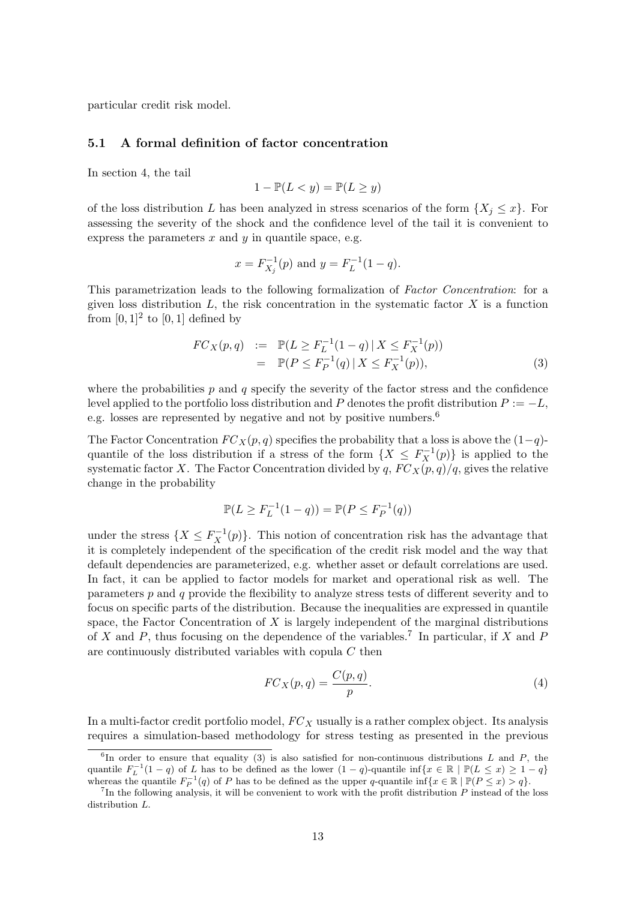particular credit risk model.

### 5.1 A formal definition of factor concentration

In section 4, the tail

$$
1 - \mathbb{P}(L < y) = \mathbb{P}(L \ge y)
$$

of the loss distribution L has been analyzed in stress scenarios of the form  $\{X_i \leq x\}$ . For assessing the severity of the shock and the confidence level of the tail it is convenient to express the parameters  $x$  and  $y$  in quantile space, e.g.

$$
x = F_{X_j}^{-1}(p)
$$
 and  $y = F_L^{-1}(1-q)$ .

This parametrization leads to the following formalization of Factor Concentration: for a given loss distribution  $L$ , the risk concentration in the systematic factor  $X$  is a function from  $[0, 1]^2$  to  $[0, 1]$  defined by

$$
FC_X(p,q) := \mathbb{P}(L \ge F_L^{-1}(1-q) | X \le F_X^{-1}(p))
$$
  
= 
$$
\mathbb{P}(P \le F_P^{-1}(q) | X \le F_X^{-1}(p)),
$$
 (3)

where the probabilities  $p$  and  $q$  specify the severity of the factor stress and the confidence level applied to the portfolio loss distribution and P denotes the profit distribution  $P := -L$ , e.g. losses are represented by negative and not by positive numbers.<sup>6</sup>

The Factor Concentration  $FC_X(p,q)$  specifies the probability that a loss is above the  $(1-q)$ quantile of the loss distribution if a stress of the form  $\{X \leq F_X^{-1}(p)\}$  is applied to the systematic factor X. The Factor Concentration divided by q,  $FC_X(p,q)/q$ , gives the relative change in the probability

$$
\mathbb{P}(L \ge F_L^{-1}(1-q)) = \mathbb{P}(P \le F_P^{-1}(q))
$$

under the stress  $\{X \leq F_X^{-1}(p)\}$ . This notion of concentration risk has the advantage that it is completely independent of the specification of the credit risk model and the way that default dependencies are parameterized, e.g. whether asset or default correlations are used. In fact, it can be applied to factor models for market and operational risk as well. The parameters p and q provide the flexibility to analyze stress tests of different severity and to focus on specific parts of the distribution. Because the inequalities are expressed in quantile space, the Factor Concentration of  $X$  is largely independent of the marginal distributions of X and P, thus focusing on the dependence of the variables.<sup>7</sup> In particular, if X and P are continuously distributed variables with copula C then

$$
FC_X(p,q) = \frac{C(p,q)}{p}.\tag{4}
$$

In a multi-factor credit portfolio model,  $FC_X$  usually is a rather complex object. Its analysis requires a simulation-based methodology for stress testing as presented in the previous

<sup>&</sup>lt;sup>6</sup>In order to ensure that equality (3) is also satisfied for non-continuous distributions L and P, the quantile  $F_L^{-1}(1-q)$  of L has to be defined as the lower  $(1-q)$ -quantile inf{ $x \in \mathbb{R} \mid \mathbb{P}(L \leq x) \geq 1-q$ } whereas the quantile  $F_P^{-1}(q)$  of P has to be defined as the upper q-quantile inf $\{x \in \mathbb{R} \mid \mathbb{P}(P \leq x) > q\}$ .<br><sup>7</sup>In the following analysis, it will be convenient to work with the profit distribution P instead of the l

distribution L.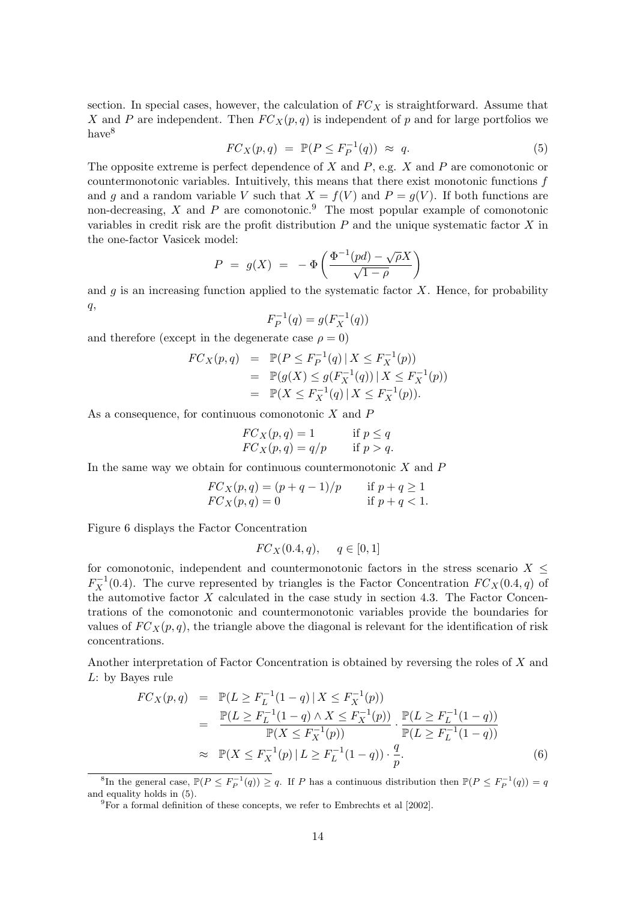section. In special cases, however, the calculation of  $FC<sub>X</sub>$  is straightforward. Assume that X and P are independent. Then  $FC_X(p,q)$  is independent of p and for large portfolios we have<sup>8</sup>

$$
FC_X(p,q) = \mathbb{P}(P \le F_P^{-1}(q)) \approx q. \tag{5}
$$

The opposite extreme is perfect dependence of X and  $P$ , e.g. X and P are comonotonic or countermonotonic variables. Intuitively, this means that there exist monotonic functions  $f$ and g and a random variable V such that  $X = f(V)$  and  $P = g(V)$ . If both functions are non-decreasing, X and P are comonotonic.<sup>9</sup> The most popular example of comonotonic variables in credit risk are the profit distribution  $P$  and the unique systematic factor  $X$  in the one-factor Vasicek model:

$$
P = g(X) = -\Phi\left(\frac{\Phi^{-1}(pd) - \sqrt{\rho}X}{\sqrt{1-\rho}}\right)
$$

and g is an increasing function applied to the systematic factor  $X$ . Hence, for probability  $q,$ 

$$
F_P^{-1}(q) = g(F_X^{-1}(q))
$$

and therefore (except in the degenerate case  $\rho = 0$ )

$$
FC_X(p,q) = \mathbb{P}(P \le F_P^{-1}(q) | X \le F_X^{-1}(p))
$$
  
= 
$$
\mathbb{P}(g(X) \le g(F_X^{-1}(q)) | X \le F_X^{-1}(p))
$$
  
= 
$$
\mathbb{P}(X \le F_X^{-1}(q) | X \le F_X^{-1}(p)).
$$

As a consequence, for continuous comonotonic  $X$  and  $P$ 

$$
\begin{aligned}\nFC_X(p,q) &= 1 & \text{if } p \le q \\
FC_X(p,q) &= q/p & \text{if } p > q.\n\end{aligned}
$$

In the same way we obtain for continuous countermonotonic  $X$  and  $P$ 

$$
FC_X(p,q) = (p+q-1)/p \t\t \text{if } p+q \ge 1\nFC_X(p,q) = 0 \t\t \text{if } p+q < 1.
$$

Figure 6 displays the Factor Concentration

$$
FC_X(0.4, q), \quad q \in [0, 1]
$$

for comonotonic, independent and countermonotonic factors in the stress scenario  $X \leq$  $F_X^{-1}(0.4)$ . The curve represented by triangles is the Factor Concentration  $FC_X(0.4, q)$  of the automotive factor  $X$  calculated in the case study in section 4.3. The Factor Concentrations of the comonotonic and countermonotonic variables provide the boundaries for values of  $FC_X(p,q)$ , the triangle above the diagonal is relevant for the identification of risk concentrations.

Another interpretation of Factor Concentration is obtained by reversing the roles of X and L: by Bayes rule

$$
FC_X(p,q) = \mathbb{P}(L \ge F_L^{-1}(1-q) | X \le F_X^{-1}(p))
$$
  
\n
$$
= \frac{\mathbb{P}(L \ge F_L^{-1}(1-q) \land X \le F_X^{-1}(p))}{\mathbb{P}(X \le F_X^{-1}(p))} \cdot \frac{\mathbb{P}(L \ge F_L^{-1}(1-q))}{\mathbb{P}(L \ge F_L^{-1}(1-q))}
$$
  
\n
$$
\approx \mathbb{P}(X \le F_X^{-1}(p) | L \ge F_L^{-1}(1-q)) \cdot \frac{q}{p}.
$$
 (6)

<sup>&</sup>lt;sup>8</sup>In the general case,  $\mathbb{P}(P \leq F_P^{-1}(q)) \geq q$ . If P has a continuous distribution then  $\mathbb{P}(P \leq F_P^{-1}(q)) = q$ and equality holds in (5).

 $^{9}$ For a formal definition of these concepts, we refer to Embrechts et al [2002].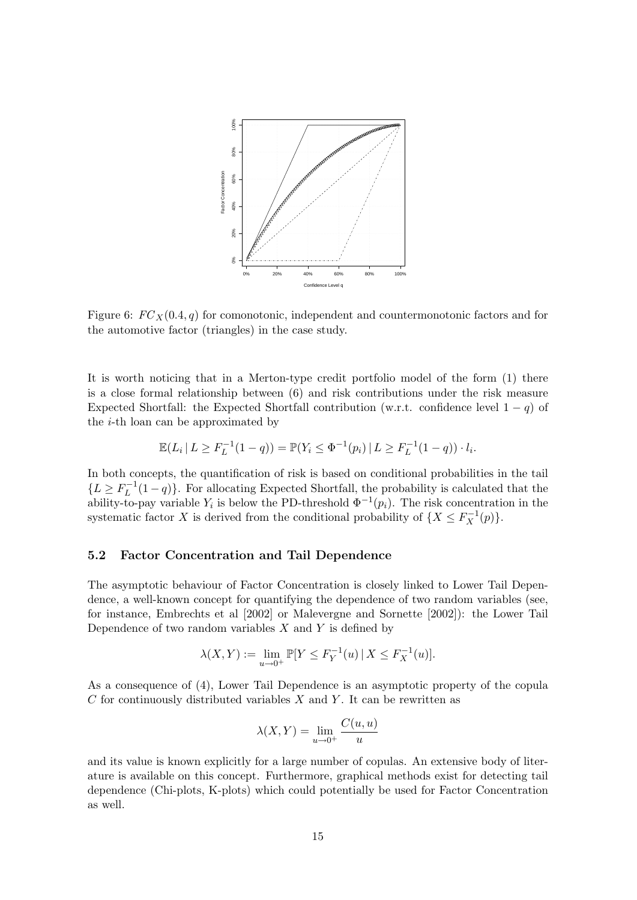

Figure 6:  $FC_X(0.4, q)$  for comonotonic, independent and countermonotonic factors and for the automotive factor (triangles) in the case study.

It is worth noticing that in a Merton-type credit portfolio model of the form  $(1)$  there is a close formal relationship between (6) and risk contributions under the risk measure Expected Shortfall: the Expected Shortfall contribution (w.r.t. confidence level  $1 - q$ ) of the  $i$ -th loan can be approximated by

$$
\mathbb{E}(L_i | L \ge F_L^{-1}(1-q)) = \mathbb{P}(Y_i \le \Phi^{-1}(p_i) | L \ge F_L^{-1}(1-q)) \cdot l_i.
$$

In both concepts, the quantification of risk is based on conditional probabilities in the tail  ${L \ge F_L^{-1}(1-q)}$ . For allocating Expected Shortfall, the probability is calculated that the ability-to-pay variable Y<sub>i</sub> is below the PD-threshold  $\Phi^{-1}(p_i)$ . The risk concentration in the systematic factor X is derived from the conditional probability of  $\{X \leq F_X^{-1}(p)\}.$ 

### 5.2 Factor Concentration and Tail Dependence

The asymptotic behaviour of Factor Concentration is closely linked to Lower Tail Dependence, a well-known concept for quantifying the dependence of two random variables (see, for instance, Embrechts et al [2002] or Malevergne and Sornette [2002]): the Lower Tail Dependence of two random variables  $X$  and  $Y$  is defined by

$$
\lambda(X, Y) := \lim_{u \to 0^+} \mathbb{P}[Y \le F_Y^{-1}(u) \, | \, X \le F_X^{-1}(u)].
$$

As a consequence of (4), Lower Tail Dependence is an asymptotic property of the copula  $C$  for continuously distributed variables  $X$  and  $Y$ . It can be rewritten as

$$
\lambda(X, Y) = \lim_{u \to 0^+} \frac{C(u, u)}{u}
$$

and its value is known explicitly for a large number of copulas. An extensive body of literature is available on this concept. Furthermore, graphical methods exist for detecting tail dependence (Chi-plots, K-plots) which could potentially be used for Factor Concentration as well.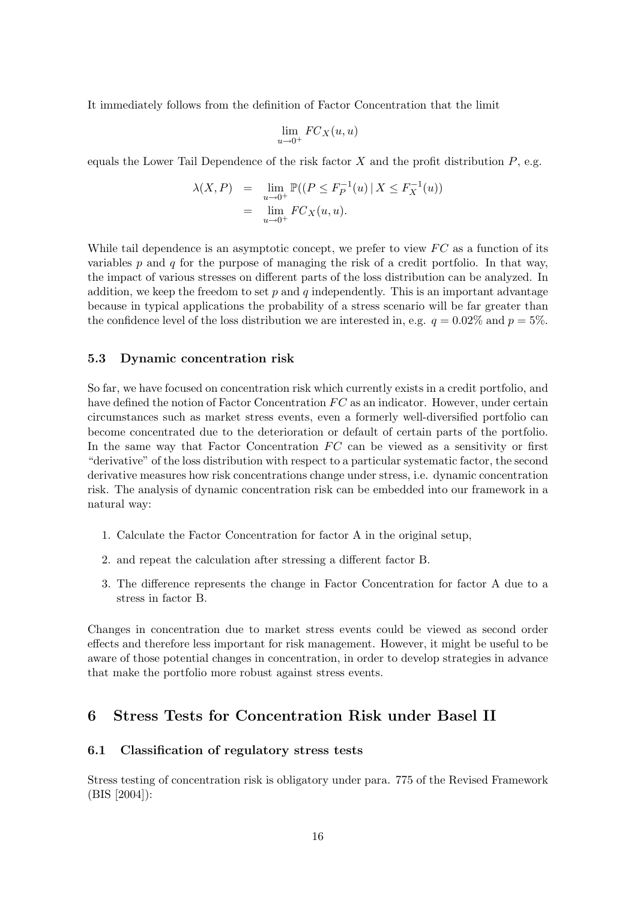It immediately follows from the definition of Factor Concentration that the limit

$$
\lim_{u \to 0^+} FC_X(u, u)
$$

equals the Lower Tail Dependence of the risk factor  $X$  and the profit distribution  $P$ , e.g.

$$
\lambda(X, P) = \lim_{u \to 0^+} \mathbb{P}((P \le F_P^{-1}(u) \mid X \le F_X^{-1}(u))
$$
  
= 
$$
\lim_{u \to 0^+} FC_X(u, u).
$$

While tail dependence is an asymptotic concept, we prefer to view  $FC$  as a function of its variables  $p$  and  $q$  for the purpose of managing the risk of a credit portfolio. In that way, the impact of various stresses on different parts of the loss distribution can be analyzed. In addition, we keep the freedom to set  $p$  and  $q$  independently. This is an important advantage because in typical applications the probability of a stress scenario will be far greater than the confidence level of the loss distribution we are interested in, e.g.  $q = 0.02\%$  and  $p = 5\%$ .

### 5.3 Dynamic concentration risk

So far, we have focused on concentration risk which currently exists in a credit portfolio, and have defined the notion of Factor Concentration  $FC$  as an indicator. However, under certain circumstances such as market stress events, even a formerly well-diversified portfolio can become concentrated due to the deterioration or default of certain parts of the portfolio. In the same way that Factor Concentration  $FC$  can be viewed as a sensitivity or first "derivative" of the loss distribution with respect to a particular systematic factor, the second derivative measures how risk concentrations change under stress, i.e. dynamic concentration risk. The analysis of dynamic concentration risk can be embedded into our framework in a natural way:

- 1. Calculate the Factor Concentration for factor A in the original setup,
- 2. and repeat the calculation after stressing a different factor B.
- 3. The difference represents the change in Factor Concentration for factor A due to a stress in factor B.

Changes in concentration due to market stress events could be viewed as second order effects and therefore less important for risk management. However, it might be useful to be aware of those potential changes in concentration, in order to develop strategies in advance that make the portfolio more robust against stress events.

## 6 Stress Tests for Concentration Risk under Basel II

### 6.1 Classification of regulatory stress tests

Stress testing of concentration risk is obligatory under para. 775 of the Revised Framework (BIS [2004]):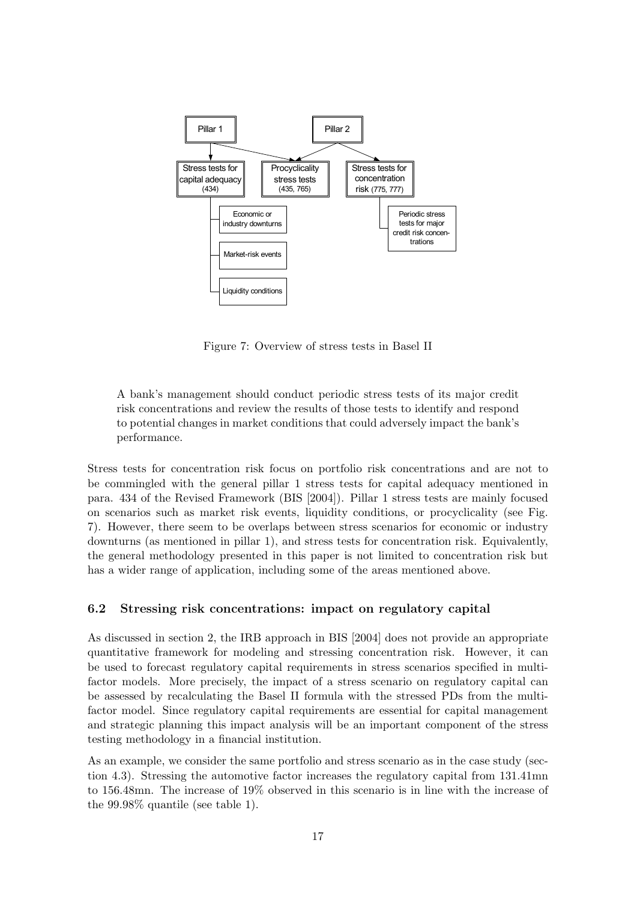

Figure 7: Overview of stress tests in Basel II

A bank's management should conduct periodic stress tests of its major credit risk concentrations and review the results of those tests to identify and respond to potential changes in market conditions that could adversely impact the bank's performance.

Stress tests for concentration risk focus on portfolio risk concentrations and are not to be commingled with the general pillar 1 stress tests for capital adequacy mentioned in para. 434 of the Revised Framework (BIS [2004]). Pillar 1 stress tests are mainly focused on scenarios such as market risk events, liquidity conditions, or procyclicality (see Fig. 7). However, there seem to be overlaps between stress scenarios for economic or industry downturns (as mentioned in pillar 1), and stress tests for concentration risk. Equivalently, the general methodology presented in this paper is not limited to concentration risk but has a wider range of application, including some of the areas mentioned above.

# 6.2 Stressing risk concentrations: impact on regulatory capital

As discussed in section 2, the IRB approach in BIS [2004] does not provide an appropriate quantitative framework for modeling and stressing concentration risk. However, it can be used to forecast regulatory capital requirements in stress scenarios specified in multifactor models. More precisely, the impact of a stress scenario on regulatory capital can be assessed by recalculating the Basel II formula with the stressed PDs from the multifactor model. Since regulatory capital requirements are essential for capital management and strategic planning this impact analysis will be an important component of the stress testing methodology in a financial institution.

As an example, we consider the same portfolio and stress scenario as in the case study (section 4.3). Stressing the automotive factor increases the regulatory capital from 131.41mn to 156.48mn. The increase of 19% observed in this scenario is in line with the increase of the 99.98% quantile (see table 1).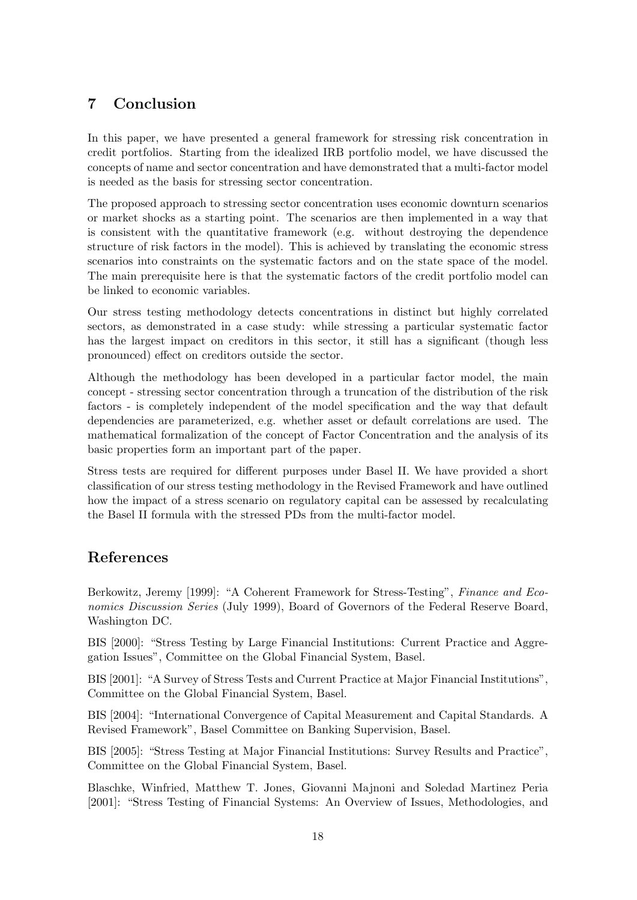# 7 Conclusion

In this paper, we have presented a general framework for stressing risk concentration in credit portfolios. Starting from the idealized IRB portfolio model, we have discussed the concepts of name and sector concentration and have demonstrated that a multi-factor model is needed as the basis for stressing sector concentration.

The proposed approach to stressing sector concentration uses economic downturn scenarios or market shocks as a starting point. The scenarios are then implemented in a way that is consistent with the quantitative framework (e.g. without destroying the dependence structure of risk factors in the model). This is achieved by translating the economic stress scenarios into constraints on the systematic factors and on the state space of the model. The main prerequisite here is that the systematic factors of the credit portfolio model can be linked to economic variables.

Our stress testing methodology detects concentrations in distinct but highly correlated sectors, as demonstrated in a case study: while stressing a particular systematic factor has the largest impact on creditors in this sector, it still has a significant (though less pronounced) effect on creditors outside the sector.

Although the methodology has been developed in a particular factor model, the main concept - stressing sector concentration through a truncation of the distribution of the risk factors - is completely independent of the model specification and the way that default dependencies are parameterized, e.g. whether asset or default correlations are used. The mathematical formalization of the concept of Factor Concentration and the analysis of its basic properties form an important part of the paper.

Stress tests are required for different purposes under Basel II. We have provided a short classification of our stress testing methodology in the Revised Framework and have outlined how the impact of a stress scenario on regulatory capital can be assessed by recalculating the Basel II formula with the stressed PDs from the multi-factor model.

# References

Berkowitz, Jeremy [1999]: "A Coherent Framework for Stress-Testing", Finance and Economics Discussion Series (July 1999), Board of Governors of the Federal Reserve Board, Washington DC.

BIS [2000]: "Stress Testing by Large Financial Institutions: Current Practice and Aggregation Issues", Committee on the Global Financial System, Basel.

BIS [2001]: "A Survey of Stress Tests and Current Practice at Major Financial Institutions", Committee on the Global Financial System, Basel.

BIS [2004]: "International Convergence of Capital Measurement and Capital Standards. A Revised Framework", Basel Committee on Banking Supervision, Basel.

BIS [2005]: "Stress Testing at Major Financial Institutions: Survey Results and Practice", Committee on the Global Financial System, Basel.

Blaschke, Winfried, Matthew T. Jones, Giovanni Majnoni and Soledad Martinez Peria [2001]: "Stress Testing of Financial Systems: An Overview of Issues, Methodologies, and